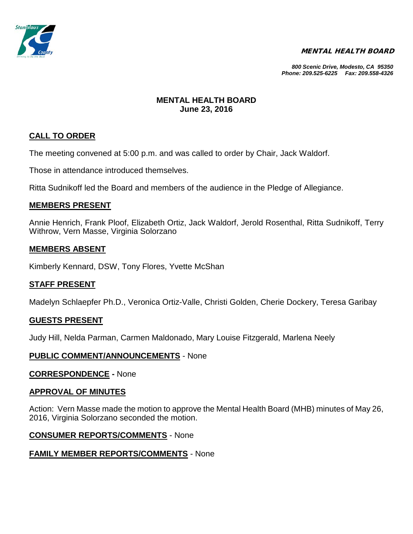

### MENTAL HEALTH BOARD

*800 Scenic Drive, Modesto, CA 95350 Phone: 209.525-6225 Fax: 209.558-4326*

# **MENTAL HEALTH BOARD June 23, 2016**

# **CALL TO ORDER**

The meeting convened at 5:00 p.m. and was called to order by Chair, Jack Waldorf.

Those in attendance introduced themselves.

Ritta Sudnikoff led the Board and members of the audience in the Pledge of Allegiance.

# **MEMBERS PRESENT**

Annie Henrich, Frank Ploof, Elizabeth Ortiz, Jack Waldorf, Jerold Rosenthal, Ritta Sudnikoff, Terry Withrow, Vern Masse, Virginia Solorzano

# **MEMBERS ABSENT**

Kimberly Kennard, DSW, Tony Flores, Yvette McShan

# **STAFF PRESENT**

Madelyn Schlaepfer Ph.D., Veronica Ortiz-Valle, Christi Golden, Cherie Dockery, Teresa Garibay

### **GUESTS PRESENT**

Judy Hill, Nelda Parman, Carmen Maldonado, Mary Louise Fitzgerald, Marlena Neely

# **PUBLIC COMMENT/ANNOUNCEMENTS** - None

### **CORRESPONDENCE -** None

### **APPROVAL OF MINUTES**

Action: Vern Masse made the motion to approve the Mental Health Board (MHB) minutes of May 26, 2016, Virginia Solorzano seconded the motion.

# **CONSUMER REPORTS/COMMENTS** - None

# **FAMILY MEMBER REPORTS/COMMENTS** - None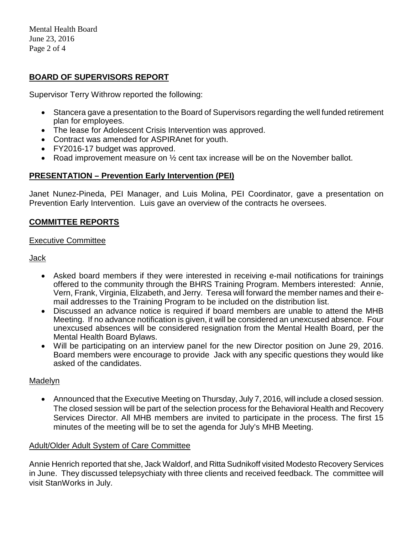Mental Health Board June 23, 2016 Page 2 of 4

# **BOARD OF SUPERVISORS REPORT**

Supervisor Terry Withrow reported the following:

- Stancera gave a presentation to the Board of Supervisors regarding the well funded retirement plan for employees.
- The lease for Adolescent Crisis Intervention was approved.
- Contract was amended for ASPIRAnet for youth.
- FY2016-17 budget was approved.
- Road improvement measure on 1/2 cent tax increase will be on the November ballot.

# **PRESENTATION – Prevention Early Intervention (PEI)**

Janet Nunez-Pineda, PEI Manager, and Luis Molina, PEI Coordinator, gave a presentation on Prevention Early Intervention. Luis gave an overview of the contracts he oversees.

# **COMMITTEE REPORTS**

### Executive Committee

### Jack

- Asked board members if they were interested in receiving e-mail notifications for trainings offered to the community through the BHRS Training Program. Members interested: Annie, Vern, Frank, Virginia, Elizabeth, and Jerry. Teresa will forward the member names and their email addresses to the Training Program to be included on the distribution list.
- Discussed an advance notice is required if board members are unable to attend the MHB Meeting. If no advance notification is given, it will be considered an unexcused absence. Four unexcused absences will be considered resignation from the Mental Health Board, per the Mental Health Board Bylaws.
- Will be participating on an interview panel for the new Director position on June 29, 2016. Board members were encourage to provide Jack with any specific questions they would like asked of the candidates.

# Madelyn

• Announced that the Executive Meeting on Thursday, July 7, 2016, will include a closed session. The closed session will be part of the selection process for the Behavioral Health and Recovery Services Director. All MHB members are invited to participate in the process. The first 15 minutes of the meeting will be to set the agenda for July's MHB Meeting.

### Adult/Older Adult System of Care Committee

Annie Henrich reported that she, Jack Waldorf, and Ritta Sudnikoff visited Modesto Recovery Services in June. They discussed telepsychiaty with three clients and received feedback. The committee will visit StanWorks in July.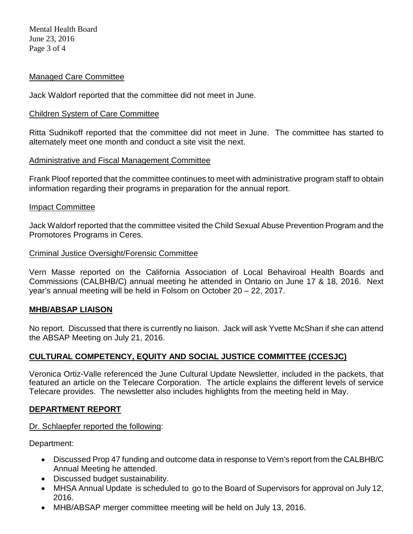# Managed Care Committee

Jack Waldorf reported that the committee did not meet in June.

### Children System of Care Committee

Ritta Sudnikoff reported that the committee did not meet in June. The committee has started to alternately meet one month and conduct a site visit the next.

### Administrative and Fiscal Management Committee

Frank Ploof reported that the committee continues to meet with administrative program staff to obtain information regarding their programs in preparation for the annual report.

### Impact Committee

Jack Waldorf reported that the committee visited the Child Sexual Abuse Prevention Program and the Promotores Programs in Ceres.

### Criminal Justice Oversight/Forensic Committee

Vern Masse reported on the California Association of Local Behaviroal Health Boards and Commissions (CALBHB/C) annual meeting he attended in Ontario on June 17 & 18, 2016. Next year's annual meeting will be held in Folsom on October 20 – 22, 2017.

### **MHB/ABSAP LIAISON**

No report. Discussed that there is currently no liaison. Jack will ask Yvette McShan if she can attend the ABSAP Meeting on July 21, 2016.

# **CULTURAL COMPETENCY, EQUITY AND SOCIAL JUSTICE COMMITTEE (CCESJC)**

Veronica Ortiz-Valle referenced the June Cultural Update Newsletter, included in the packets, that featured an article on the Telecare Corporation. The article explains the different levels of service Telecare provides. The newsletter also includes highlights from the meeting held in May.

### **DEPARTMENT REPORT**

### Dr. Schlaepfer reported the following:

Department:

- Discussed Prop 47 funding and outcome data in response to Vern's report from the CALBHB/C Annual Meeting he attended.
- Discussed budget sustainability.
- MHSA Annual Update is scheduled to go to the Board of Supervisors for approval on July 12, 2016.
- MHB/ABSAP merger committee meeting will be held on July 13, 2016.